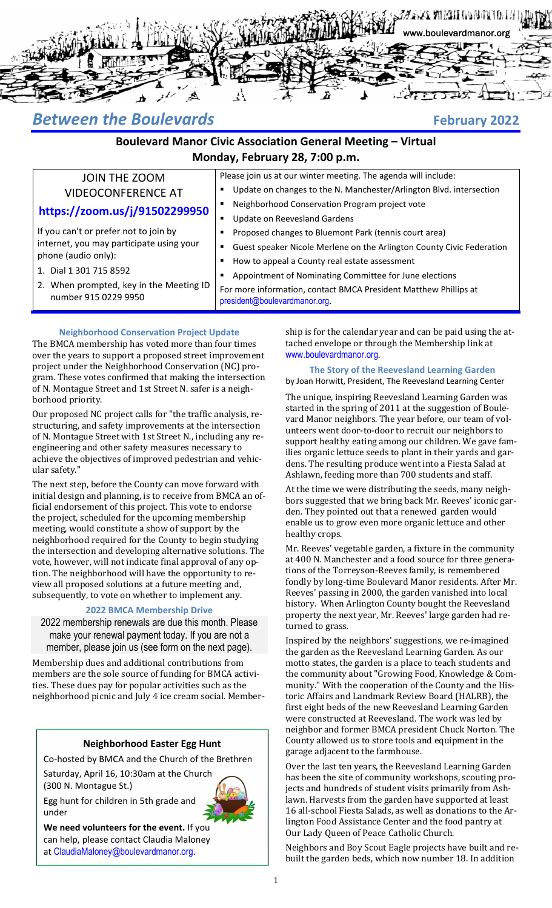

# *Between the Boulevards* **February 2022**

## **Boulevard Manor Civic Association General Meeting – Virtual Monday, February 28, 7:00 p.m.**

president@boulevardmanor.org.

Update on Reevesland Gardens

Please join us at our winter meeting. The agenda will include:

Proposed changes to Bluemont Park (tennis court area)

 Appointment of Nominating Committee for June elections For more information, contact BMCA President Matthew Phillips at

Neighborhood Conservation Program project vote

How to appeal a County real estate assessment

Update on changes to the N. Manchester/Arlington Blvd. intersection

Guest speaker Nicole Merlene on the Arlington County Civic Federation

# JOIN THE ZOOM VIDEOCONFERENCE AT

## **https://zoom.us/j/91502299950**

If you can't or prefer not to join by internet, you may participate using your phone (audio only):

- 1. Dial 1 301 715 8592
- 2. When prompted, key in the Meeting ID number 915 0229 9950

# **Neighborhood Conservation Project Update**

The BMCA membership has voted more than four times over the years to support a proposed street improvement project under the Neighborhood Conservation (NC) program. These votes confirmed that making the intersection of N. Montague Street and 1st Street N. safer is a neighborhood priority.

Our proposed NC project calls for "the traffic analysis, restructuring, and safety improvements at the intersection of N. Montague Street with 1st Street N., including any reengineering and other safety measures necessary to achieve the objectives of improved pedestrian and vehicular safety."

The next step, before the County can move forward with initial design and planning, is to receive from BMCA an official endorsement of this project. This vote to endorse the project, scheduled for the upcoming membership meeting, would constitute a show of support by the neighborhood required for the County to begin studying the intersection and developing alternative solutions. The vote, however, will not indicate final approval of any option. The neighborhood will have the opportunity to review all proposed solutions at a future meeting and, subsequently, to vote on whether to implement any.

### **2022 BMCA Membership Drive**

2022 membership renewals are due this month. Please make your renewal payment today. If you are not a member, please join us (see form on the next page).

Membership dues and additional contributions from members are the sole source of funding for BMCA activities. These dues pay for popular activities such as the neighborhood picnic and July 4 ice cream social. Member-

### **Neighborhood Easter Egg Hunt**

Co‐hosted by BMCA and the Church of the Brethren

Saturday, April 16, 10:30am at the Church (300 N. Montague St.)

Egg hunt for children in 5th grade and under



**We need volunteers for the event.** If you can help, please contact Claudia Maloney at ClaudiaMaloney@boulevardmanor.org.

ship is for the calendar year and can be paid using the attached envelope or through the Membership link at www.boulevardmanor.org.

#### **The Story of the Reevesland Learning Garden**

by Joan Horwitt, President, The Reevesland Learning Center

The unique, inspiring Reevesland Learning Garden was started in the spring of 2011 at the suggestion of Boulevard Manor neighbors. The year before, our team of volunteers went door-to-door to recruit our neighbors to support healthy eating among our children. We gave families organic lettuce seeds to plant in their yards and gardens. The resulting produce went into a Fiesta Salad at Ashlawn, feeding more than 700 students and staff.

At the time we were distributing the seeds, many neighbors suggested that we bring back Mr. Reeves' iconic garden. They pointed out that a renewed garden would enable us to grow even more organic lettuce and other healthy crops.

Mr. Reeves' vegetable garden, a fixture in the community at 400 N. Manchester and a food source for three generations of the Torreyson-Reeves family, is remembered fondly by long-time Boulevard Manor residents. After Mr. Reeves' passing in 2000, the garden vanished into local history. When Arlington County bought the Reevesland property the next year, Mr. Reeves' large garden had returned to grass.

Inspired by the neighbors' suggestions, we re-imagined the garden as the Reevesland Learning Garden. As our motto states, the garden is a place to teach students and the community about "Growing Food, Knowledge & Community." With the cooperation of the County and the Historic Affairs and Landmark Review Board (HALRB), the first eight beds of the new Reevesland Learning Garden were constructed at Reevesland. The work was led by neighbor and former BMCA president Chuck Norton. The County allowed us to store tools and equipment in the garage adjacent to the farmhouse.

Over the last ten years, the Reevesland Learning Garden has been the site of community workshops, scouting projects and hundreds of student visits primarily from Ashlawn. Harvests from the garden have supported at least 16 all-school Fiesta Salads, as well as donations to the Arlington Food Assistance Center and the food pantry at Our Lady Queen of Peace Catholic Church.

Neighbors and Boy Scout Eagle projects have built and rebuilt the garden beds, which now number 18. In addition